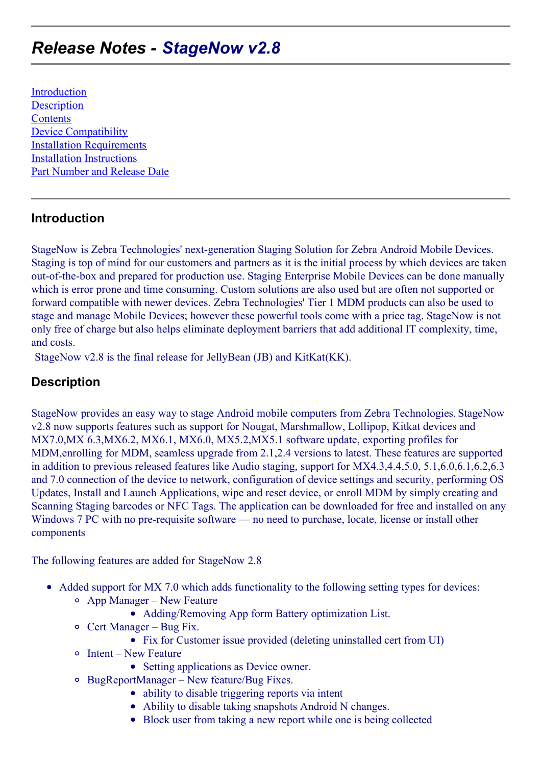# *Release Notes - StageNow v2.8*

[Introduction](#page-0-0) **[Description](#page-0-1) [Contents](#page-1-0)** Device [Compatibility](#page-1-1) **Installation [Requirements](#page-2-0)** Installation [Instructions](#page-2-1) Part Number and Release Date

### <span id="page-0-0"></span>**Introduction**

StageNow is Zebra Technologies' next-generation Staging Solution for Zebra Android Mobile Devices. Staging is top of mind for our customers and partners as it is the initial process by which devices are taken out-of-the-box and prepared for production use. Staging Enterprise Mobile Devices can be done manually which is error prone and time consuming. Custom solutions are also used but are often not supported or forward compatible with newer devices. Zebra Technologies' Tier 1 MDM products can also be used to stage and manage Mobile Devices; however these powerful tools come with a price tag. StageNow is not only free of charge but also helps eliminate deployment barriers that add additional IT complexity, time, and costs.

StageNow v2.8 is the final release for JellyBean (JB) and KitKat(KK).

#### <span id="page-0-1"></span>**Description**

StageNow provides an easy way to stage Android mobile computers from Zebra Technologies. StageNow v2.8 now supports features such as support for Nougat, Marshmallow, Lollipop, Kitkat devices and MX7.0,MX 6.3,MX6.2, MX6.1, MX6.0, MX5.2,MX5.1 software update, exporting profiles for MDM,enrolling for MDM, seamless upgrade from 2.1,2.4 versions to latest. These features are supported in addition to previous released features like Audio staging, support for MX4.3,4.4,5.0, 5.1,6.0,6.1,6.2,6.3 and 7.0 connection of the device to network, configuration of device settings and security, performing OS Updates, Install and Launch Applications, wipe and reset device, or enroll MDM by simply creating and Scanning Staging barcodes or NFC Tags. The application can be downloaded for free and installed on any Windows 7 PC with no pre-requisite software — no need to purchase, locate, license or install other components

The following features are added for StageNow 2.8

- Added support for MX 7.0 which adds functionality to the following setting types for devices:
	- App Manager New Feature
		- Adding/Removing App form Battery optimization List.
	- $\circ$  Cert Manager Bug Fix.
		- Fix for Customer issue provided (deleting uninstalled cert from UI)
	- $\circ$  Intent New Feature
		- Setting applications as Device owner.
	- BugReportManager New feature/Bug Fixes.
		- ability to disable triggering reports via intent
		- Ability to disable taking snapshots Android N changes.
		- Block user from taking a new report while one is being collected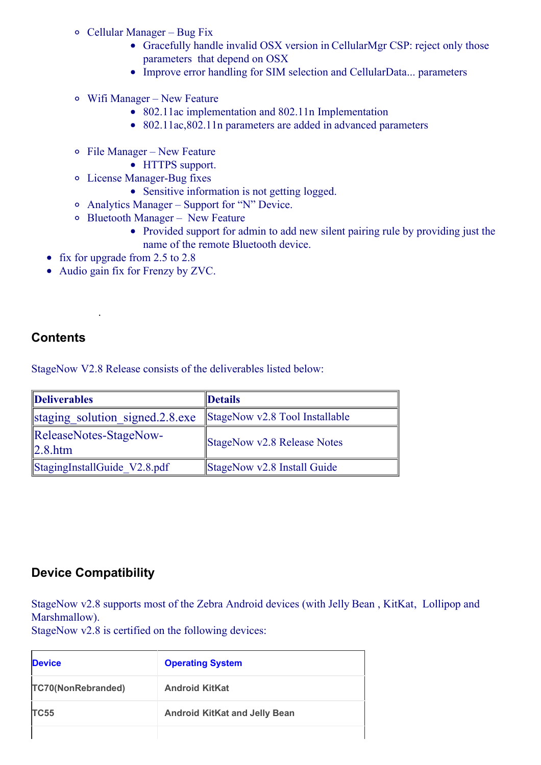- Cellular Manager Bug Fix
	- Gracefully handle invalid OSX version in CellularMgr CSP: reject only those parameters that depend on OSX
	- Improve error handling for SIM selection and CellularData... parameters
- Wifi Manager New Feature
	- 802.11ac implementation and 802.11n Implementation
	- 802.11ac, 802.11n parameters are added in advanced parameters
- File Manager New Feature
	- HTTPS support.
- License Manager-Bug fixes
	- Sensitive information is not getting logged.
- Analytics Manager Support for "N" Device.
- Bluetooth Manager New Feature
	- Provided support for admin to add new silent pairing rule by providing just the name of the remote Bluetooth device.
- fix for upgrade from 2.5 to 2.8

.

• Audio gain fix for Frenzy by ZVC.

#### <span id="page-1-0"></span>**Contents**

StageNow V2.8 Release consists of the deliverables listed below:

| Deliverables                               | Details                        |
|--------------------------------------------|--------------------------------|
| staging solution signed.2.8.exe            | StageNow v2.8 Tool Installable |
| ReleaseNotes-StageNow-<br>$\vert 2.8.$ htm | StageNow v2.8 Release Notes    |
| StagingInstallGuide V2.8.pdf               | StageNow v2.8 Install Guide    |

### <span id="page-1-1"></span>**Device Compatibility**

StageNow v2.8 supports most of the Zebra Android devices (with Jelly Bean , KitKat, Lollipop and Marshmallow).

StageNow v2.8 is certified on the following devices:

| <b>Device</b>             | <b>Operating System</b>              |
|---------------------------|--------------------------------------|
| <b>TC70(NonRebranded)</b> | <b>Android KitKat</b>                |
| <b>ITC55</b>              | <b>Android KitKat and Jelly Bean</b> |
|                           |                                      |